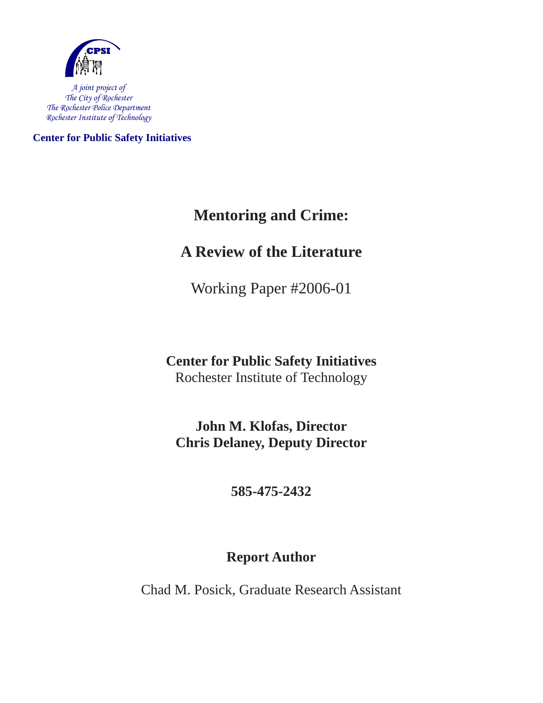

*A joint project of The City of Rochester The Rochester Police Department Rochester Institute of Technology* 

**Center for Public Safety Initiatives** 

## **Mentoring and Crime:**

## **A Review of the Literature**

Working Paper #2006-01

### **Center for Public Safety Initiatives**  Rochester Institute of Technology

**John M. Klofas, Director Chris Delaney, Deputy Director** 

### **585-475-2432**

### **Report Author**

Chad M. Posick, Graduate Research Assistant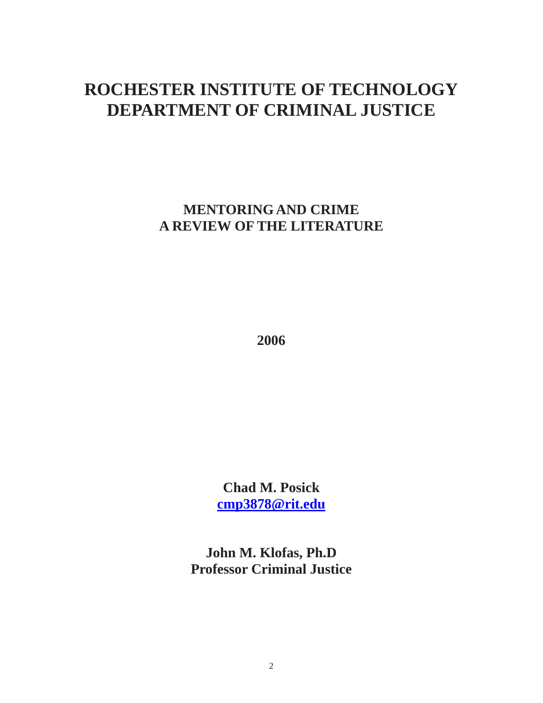# **ROCHESTER INSTITUTE OF TECHNOLOGY DEPARTMENT OF CRIMINAL JUSTICE**

**MENTORING AND CRIME A REVIEW OF THE LITERATURE** 

**2006** 

**Chad M. Posick cmp3878@rit.edu**

**John M. Klofas, Ph.D Professor Criminal Justice**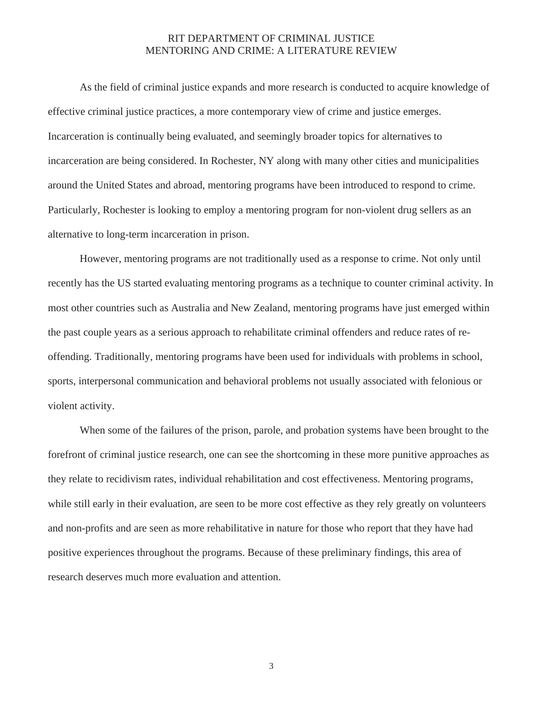#### RIT DEPARTMENT OF CRIMINAL JUSTICE MENTORING AND CRIME: A LITERATURE REVIEW

 As the field of criminal justice expands and more research is conducted to acquire knowledge of effective criminal justice practices, a more contemporary view of crime and justice emerges. Incarceration is continually being evaluated, and seemingly broader topics for alternatives to incarceration are being considered. In Rochester, NY along with many other cities and municipalities around the United States and abroad, mentoring programs have been introduced to respond to crime. Particularly, Rochester is looking to employ a mentoring program for non-violent drug sellers as an alternative to long-term incarceration in prison.

 However, mentoring programs are not traditionally used as a response to crime. Not only until recently has the US started evaluating mentoring programs as a technique to counter criminal activity. In most other countries such as Australia and New Zealand, mentoring programs have just emerged within the past couple years as a serious approach to rehabilitate criminal offenders and reduce rates of reoffending. Traditionally, mentoring programs have been used for individuals with problems in school, sports, interpersonal communication and behavioral problems not usually associated with felonious or violent activity.

 When some of the failures of the prison, parole, and probation systems have been brought to the forefront of criminal justice research, one can see the shortcoming in these more punitive approaches as they relate to recidivism rates, individual rehabilitation and cost effectiveness. Mentoring programs, while still early in their evaluation, are seen to be more cost effective as they rely greatly on volunteers and non-profits and are seen as more rehabilitative in nature for those who report that they have had positive experiences throughout the programs. Because of these preliminary findings, this area of research deserves much more evaluation and attention.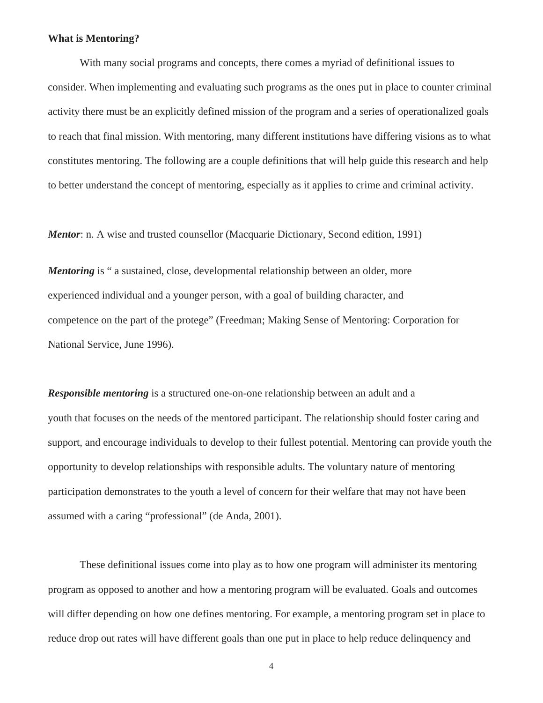#### **What is Mentoring?**

With many social programs and concepts, there comes a myriad of definitional issues to consider. When implementing and evaluating such programs as the ones put in place to counter criminal activity there must be an explicitly defined mission of the program and a series of operationalized goals to reach that final mission. With mentoring, many different institutions have differing visions as to what constitutes mentoring. The following are a couple definitions that will help guide this research and help to better understand the concept of mentoring, especially as it applies to crime and criminal activity.

*Mentor*: n. A wise and trusted counsellor (Macquarie Dictionary, Second edition, 1991)

*Mentoring* is " a sustained, close, developmental relationship between an older, more experienced individual and a younger person, with a goal of building character, and competence on the part of the protege" (Freedman; Making Sense of Mentoring: Corporation for National Service, June 1996).

*Responsible mentoring* is a structured one-on-one relationship between an adult and a youth that focuses on the needs of the mentored participant. The relationship should foster caring and support, and encourage individuals to develop to their fullest potential. Mentoring can provide youth the opportunity to develop relationships with responsible adults. The voluntary nature of mentoring participation demonstrates to the youth a level of concern for their welfare that may not have been assumed with a caring "professional" (de Anda, 2001).

 These definitional issues come into play as to how one program will administer its mentoring program as opposed to another and how a mentoring program will be evaluated. Goals and outcomes will differ depending on how one defines mentoring. For example, a mentoring program set in place to reduce drop out rates will have different goals than one put in place to help reduce delinquency and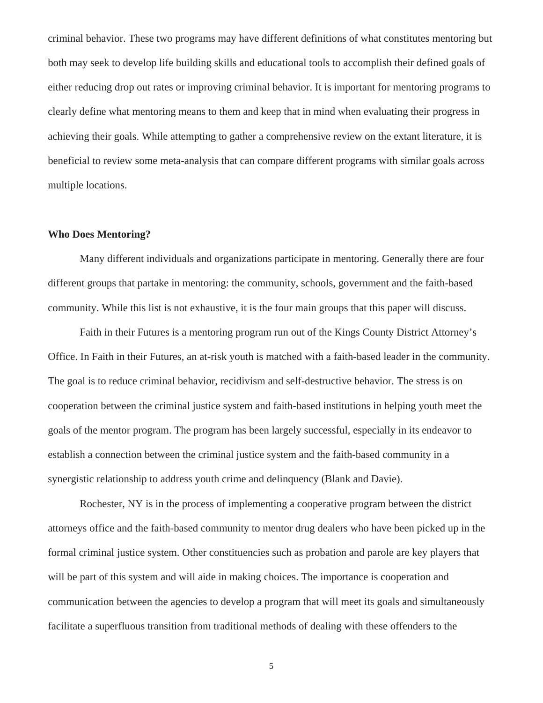criminal behavior. These two programs may have different definitions of what constitutes mentoring but both may seek to develop life building skills and educational tools to accomplish their defined goals of either reducing drop out rates or improving criminal behavior. It is important for mentoring programs to clearly define what mentoring means to them and keep that in mind when evaluating their progress in achieving their goals. While attempting to gather a comprehensive review on the extant literature, it is beneficial to review some meta-analysis that can compare different programs with similar goals across multiple locations.

#### **Who Does Mentoring?**

Many different individuals and organizations participate in mentoring. Generally there are four different groups that partake in mentoring: the community, schools, government and the faith-based community. While this list is not exhaustive, it is the four main groups that this paper will discuss.

 Faith in their Futures is a mentoring program run out of the Kings County District Attorney's Office. In Faith in their Futures, an at-risk youth is matched with a faith-based leader in the community. The goal is to reduce criminal behavior, recidivism and self-destructive behavior. The stress is on cooperation between the criminal justice system and faith-based institutions in helping youth meet the goals of the mentor program. The program has been largely successful, especially in its endeavor to establish a connection between the criminal justice system and the faith-based community in a synergistic relationship to address youth crime and delinquency (Blank and Davie).

 Rochester, NY is in the process of implementing a cooperative program between the district attorneys office and the faith-based community to mentor drug dealers who have been picked up in the formal criminal justice system. Other constituencies such as probation and parole are key players that will be part of this system and will aide in making choices. The importance is cooperation and communication between the agencies to develop a program that will meet its goals and simultaneously facilitate a superfluous transition from traditional methods of dealing with these offenders to the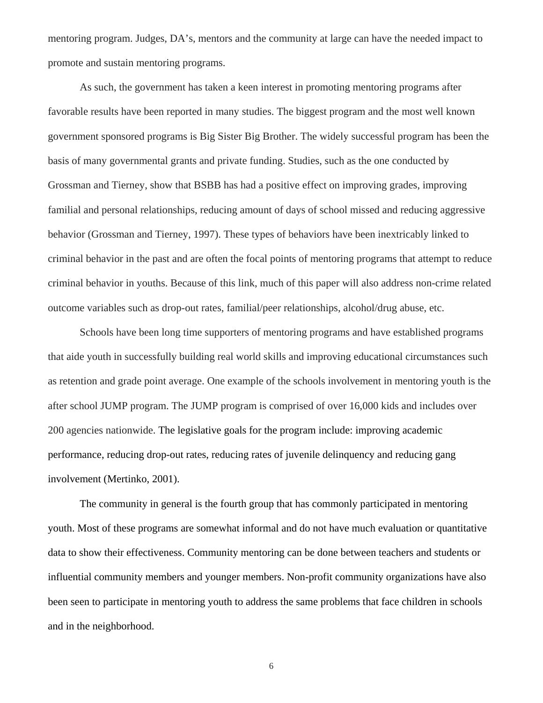mentoring program. Judges, DA's, mentors and the community at large can have the needed impact to promote and sustain mentoring programs.

 As such, the government has taken a keen interest in promoting mentoring programs after favorable results have been reported in many studies. The biggest program and the most well known government sponsored programs is Big Sister Big Brother. The widely successful program has been the basis of many governmental grants and private funding. Studies, such as the one conducted by Grossman and Tierney, show that BSBB has had a positive effect on improving grades, improving familial and personal relationships, reducing amount of days of school missed and reducing aggressive behavior (Grossman and Tierney, 1997). These types of behaviors have been inextricably linked to criminal behavior in the past and are often the focal points of mentoring programs that attempt to reduce criminal behavior in youths. Because of this link, much of this paper will also address non-crime related outcome variables such as drop-out rates, familial/peer relationships, alcohol/drug abuse, etc.

 Schools have been long time supporters of mentoring programs and have established programs that aide youth in successfully building real world skills and improving educational circumstances such as retention and grade point average. One example of the schools involvement in mentoring youth is the after school JUMP program. The JUMP program is comprised of over 16,000 kids and includes over 200 agencies nationwide. The legislative goals for the program include: improving academic performance, reducing drop-out rates, reducing rates of juvenile delinquency and reducing gang involvement (Mertinko, 2001).

 The community in general is the fourth group that has commonly participated in mentoring youth. Most of these programs are somewhat informal and do not have much evaluation or quantitative data to show their effectiveness. Community mentoring can be done between teachers and students or influential community members and younger members. Non-profit community organizations have also been seen to participate in mentoring youth to address the same problems that face children in schools and in the neighborhood.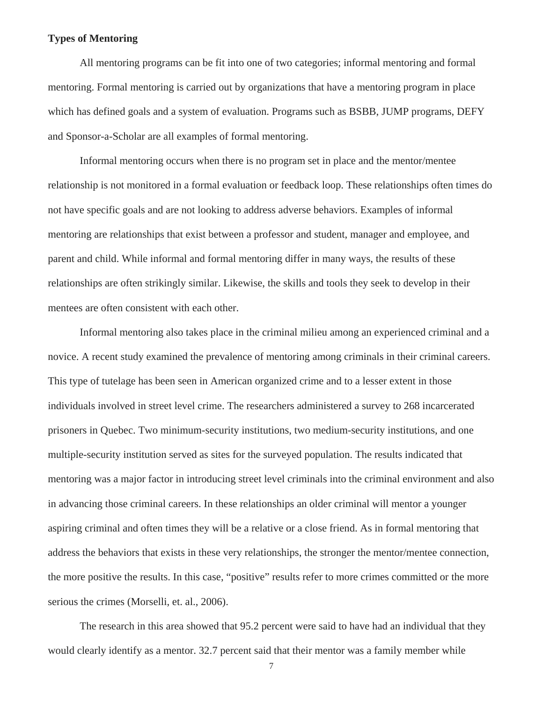#### **Types of Mentoring**

All mentoring programs can be fit into one of two categories; informal mentoring and formal mentoring. Formal mentoring is carried out by organizations that have a mentoring program in place which has defined goals and a system of evaluation. Programs such as BSBB, JUMP programs, DEFY and Sponsor-a-Scholar are all examples of formal mentoring.

 Informal mentoring occurs when there is no program set in place and the mentor/mentee relationship is not monitored in a formal evaluation or feedback loop. These relationships often times do not have specific goals and are not looking to address adverse behaviors. Examples of informal mentoring are relationships that exist between a professor and student, manager and employee, and parent and child. While informal and formal mentoring differ in many ways, the results of these relationships are often strikingly similar. Likewise, the skills and tools they seek to develop in their mentees are often consistent with each other.

 Informal mentoring also takes place in the criminal milieu among an experienced criminal and a novice. A recent study examined the prevalence of mentoring among criminals in their criminal careers. This type of tutelage has been seen in American organized crime and to a lesser extent in those individuals involved in street level crime. The researchers administered a survey to 268 incarcerated prisoners in Quebec. Two minimum-security institutions, two medium-security institutions, and one multiple-security institution served as sites for the surveyed population. The results indicated that mentoring was a major factor in introducing street level criminals into the criminal environment and also in advancing those criminal careers. In these relationships an older criminal will mentor a younger aspiring criminal and often times they will be a relative or a close friend. As in formal mentoring that address the behaviors that exists in these very relationships, the stronger the mentor/mentee connection, the more positive the results. In this case, "positive" results refer to more crimes committed or the more serious the crimes (Morselli, et. al., 2006).

The research in this area showed that 95.2 percent were said to have had an individual that they would clearly identify as a mentor. 32.7 percent said that their mentor was a family member while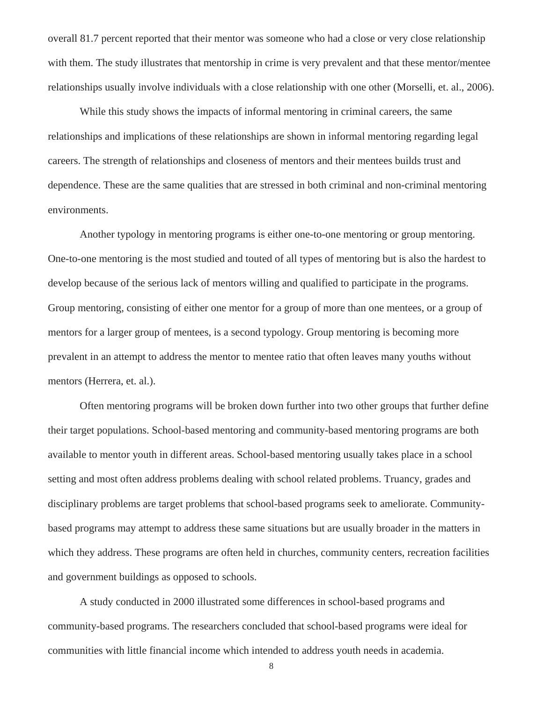overall 81.7 percent reported that their mentor was someone who had a close or very close relationship with them. The study illustrates that mentorship in crime is very prevalent and that these mentor/mentee relationships usually involve individuals with a close relationship with one other (Morselli, et. al., 2006).

While this study shows the impacts of informal mentoring in criminal careers, the same relationships and implications of these relationships are shown in informal mentoring regarding legal careers. The strength of relationships and closeness of mentors and their mentees builds trust and dependence. These are the same qualities that are stressed in both criminal and non-criminal mentoring environments.

 Another typology in mentoring programs is either one-to-one mentoring or group mentoring. One-to-one mentoring is the most studied and touted of all types of mentoring but is also the hardest to develop because of the serious lack of mentors willing and qualified to participate in the programs. Group mentoring, consisting of either one mentor for a group of more than one mentees, or a group of mentors for a larger group of mentees, is a second typology. Group mentoring is becoming more prevalent in an attempt to address the mentor to mentee ratio that often leaves many youths without mentors (Herrera, et. al.).

 Often mentoring programs will be broken down further into two other groups that further define their target populations. School-based mentoring and community-based mentoring programs are both available to mentor youth in different areas. School-based mentoring usually takes place in a school setting and most often address problems dealing with school related problems. Truancy, grades and disciplinary problems are target problems that school-based programs seek to ameliorate. Communitybased programs may attempt to address these same situations but are usually broader in the matters in which they address. These programs are often held in churches, community centers, recreation facilities and government buildings as opposed to schools.

 A study conducted in 2000 illustrated some differences in school-based programs and community-based programs. The researchers concluded that school-based programs were ideal for communities with little financial income which intended to address youth needs in academia.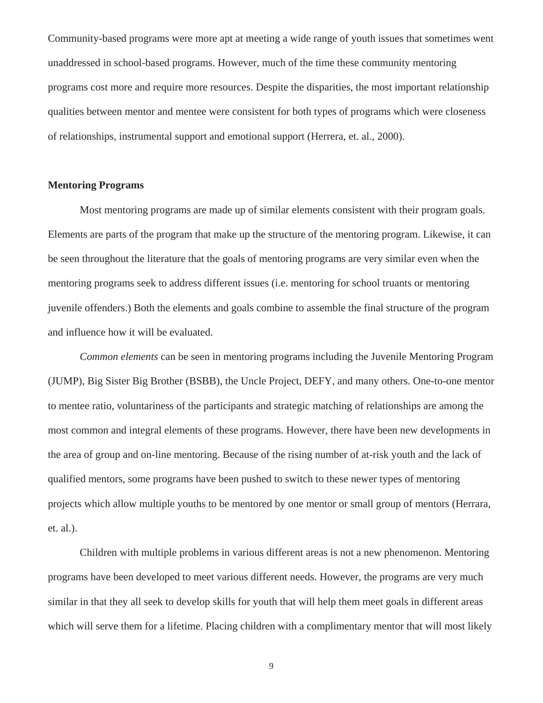Community-based programs were more apt at meeting a wide range of youth issues that sometimes went unaddressed in school-based programs. However, much of the time these community mentoring programs cost more and require more resources. Despite the disparities, the most important relationship qualities between mentor and mentee were consistent for both types of programs which were closeness of relationships, instrumental support and emotional support (Herrera, et. al., 2000).

#### **Mentoring Programs**

Most mentoring programs are made up of similar elements consistent with their program goals. Elements are parts of the program that make up the structure of the mentoring program. Likewise, it can be seen throughout the literature that the goals of mentoring programs are very similar even when the mentoring programs seek to address different issues (i.e. mentoring for school truants or mentoring juvenile offenders.) Both the elements and goals combine to assemble the final structure of the program and influence how it will be evaluated.

*Common elements* can be seen in mentoring programs including the Juvenile Mentoring Program (JUMP), Big Sister Big Brother (BSBB), the Uncle Project, DEFY, and many others. One-to-one mentor to mentee ratio, voluntariness of the participants and strategic matching of relationships are among the most common and integral elements of these programs. However, there have been new developments in the area of group and on-line mentoring. Because of the rising number of at-risk youth and the lack of qualified mentors, some programs have been pushed to switch to these newer types of mentoring projects which allow multiple youths to be mentored by one mentor or small group of mentors (Herrara, et. al.).

Children with multiple problems in various different areas is not a new phenomenon. Mentoring programs have been developed to meet various different needs. However, the programs are very much similar in that they all seek to develop skills for youth that will help them meet goals in different areas which will serve them for a lifetime. Placing children with a complimentary mentor that will most likely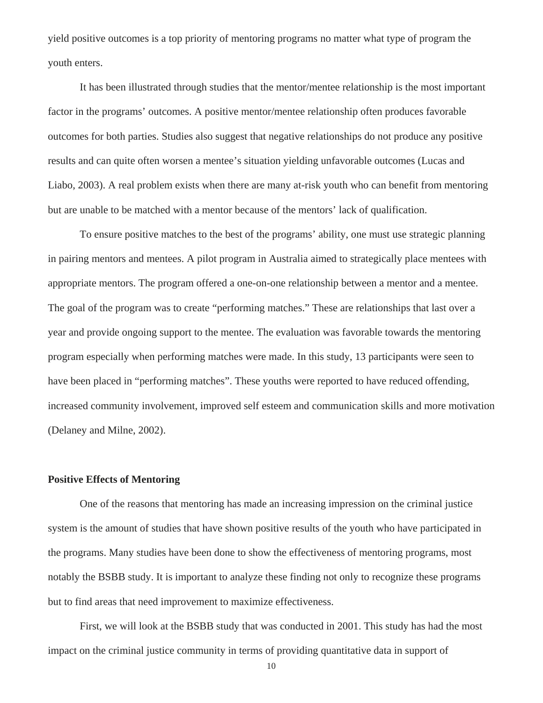yield positive outcomes is a top priority of mentoring programs no matter what type of program the youth enters.

It has been illustrated through studies that the mentor/mentee relationship is the most important factor in the programs' outcomes. A positive mentor/mentee relationship often produces favorable outcomes for both parties. Studies also suggest that negative relationships do not produce any positive results and can quite often worsen a mentee's situation yielding unfavorable outcomes (Lucas and Liabo, 2003). A real problem exists when there are many at-risk youth who can benefit from mentoring but are unable to be matched with a mentor because of the mentors' lack of qualification.

To ensure positive matches to the best of the programs' ability, one must use strategic planning in pairing mentors and mentees. A pilot program in Australia aimed to strategically place mentees with appropriate mentors. The program offered a one-on-one relationship between a mentor and a mentee. The goal of the program was to create "performing matches." These are relationships that last over a year and provide ongoing support to the mentee. The evaluation was favorable towards the mentoring program especially when performing matches were made. In this study, 13 participants were seen to have been placed in "performing matches". These youths were reported to have reduced offending, increased community involvement, improved self esteem and communication skills and more motivation (Delaney and Milne, 2002).

#### **Positive Effects of Mentoring**

One of the reasons that mentoring has made an increasing impression on the criminal justice system is the amount of studies that have shown positive results of the youth who have participated in the programs. Many studies have been done to show the effectiveness of mentoring programs, most notably the BSBB study. It is important to analyze these finding not only to recognize these programs but to find areas that need improvement to maximize effectiveness.

 First, we will look at the BSBB study that was conducted in 2001. This study has had the most impact on the criminal justice community in terms of providing quantitative data in support of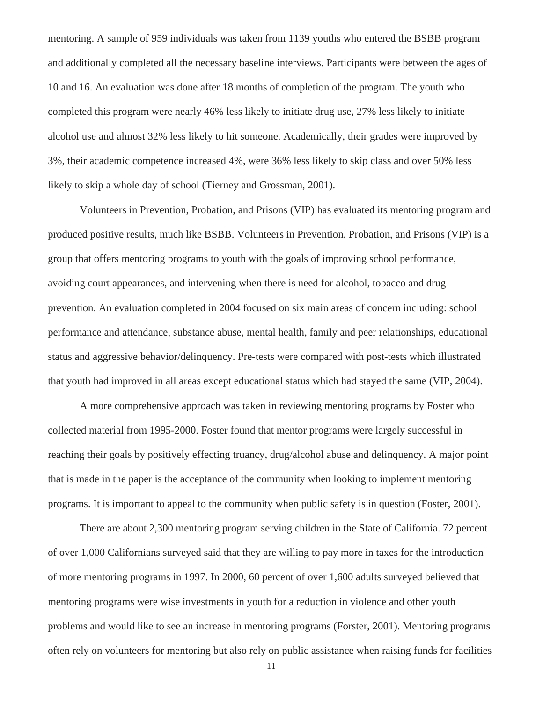mentoring. A sample of 959 individuals was taken from 1139 youths who entered the BSBB program and additionally completed all the necessary baseline interviews. Participants were between the ages of 10 and 16. An evaluation was done after 18 months of completion of the program. The youth who completed this program were nearly 46% less likely to initiate drug use, 27% less likely to initiate alcohol use and almost 32% less likely to hit someone. Academically, their grades were improved by 3%, their academic competence increased 4%, were 36% less likely to skip class and over 50% less likely to skip a whole day of school (Tierney and Grossman, 2001).

 Volunteers in Prevention, Probation, and Prisons (VIP) has evaluated its mentoring program and produced positive results, much like BSBB. Volunteers in Prevention, Probation, and Prisons (VIP) is a group that offers mentoring programs to youth with the goals of improving school performance, avoiding court appearances, and intervening when there is need for alcohol, tobacco and drug prevention. An evaluation completed in 2004 focused on six main areas of concern including: school performance and attendance, substance abuse, mental health, family and peer relationships, educational status and aggressive behavior/delinquency. Pre-tests were compared with post-tests which illustrated that youth had improved in all areas except educational status which had stayed the same (VIP, 2004).

 A more comprehensive approach was taken in reviewing mentoring programs by Foster who collected material from 1995-2000. Foster found that mentor programs were largely successful in reaching their goals by positively effecting truancy, drug/alcohol abuse and delinquency. A major point that is made in the paper is the acceptance of the community when looking to implement mentoring programs. It is important to appeal to the community when public safety is in question (Foster, 2001).

 There are about 2,300 mentoring program serving children in the State of California. 72 percent of over 1,000 Californians surveyed said that they are willing to pay more in taxes for the introduction of more mentoring programs in 1997. In 2000, 60 percent of over 1,600 adults surveyed believed that mentoring programs were wise investments in youth for a reduction in violence and other youth problems and would like to see an increase in mentoring programs (Forster, 2001). Mentoring programs often rely on volunteers for mentoring but also rely on public assistance when raising funds for facilities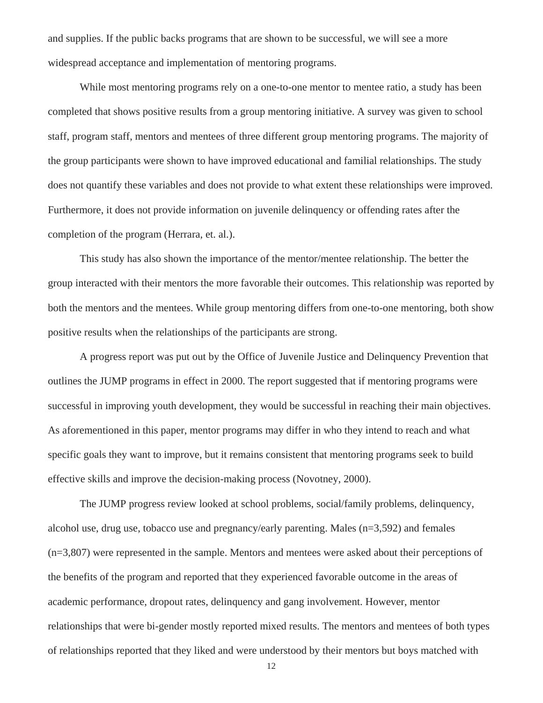and supplies. If the public backs programs that are shown to be successful, we will see a more widespread acceptance and implementation of mentoring programs.

 While most mentoring programs rely on a one-to-one mentor to mentee ratio, a study has been completed that shows positive results from a group mentoring initiative. A survey was given to school staff, program staff, mentors and mentees of three different group mentoring programs. The majority of the group participants were shown to have improved educational and familial relationships. The study does not quantify these variables and does not provide to what extent these relationships were improved. Furthermore, it does not provide information on juvenile delinquency or offending rates after the completion of the program (Herrara, et. al.).

 This study has also shown the importance of the mentor/mentee relationship. The better the group interacted with their mentors the more favorable their outcomes. This relationship was reported by both the mentors and the mentees. While group mentoring differs from one-to-one mentoring, both show positive results when the relationships of the participants are strong.

 A progress report was put out by the Office of Juvenile Justice and Delinquency Prevention that outlines the JUMP programs in effect in 2000. The report suggested that if mentoring programs were successful in improving youth development, they would be successful in reaching their main objectives. As aforementioned in this paper, mentor programs may differ in who they intend to reach and what specific goals they want to improve, but it remains consistent that mentoring programs seek to build effective skills and improve the decision-making process (Novotney, 2000).

 The JUMP progress review looked at school problems, social/family problems, delinquency, alcohol use, drug use, tobacco use and pregnancy/early parenting. Males (n=3,592) and females (n=3,807) were represented in the sample. Mentors and mentees were asked about their perceptions of the benefits of the program and reported that they experienced favorable outcome in the areas of academic performance, dropout rates, delinquency and gang involvement. However, mentor relationships that were bi-gender mostly reported mixed results. The mentors and mentees of both types of relationships reported that they liked and were understood by their mentors but boys matched with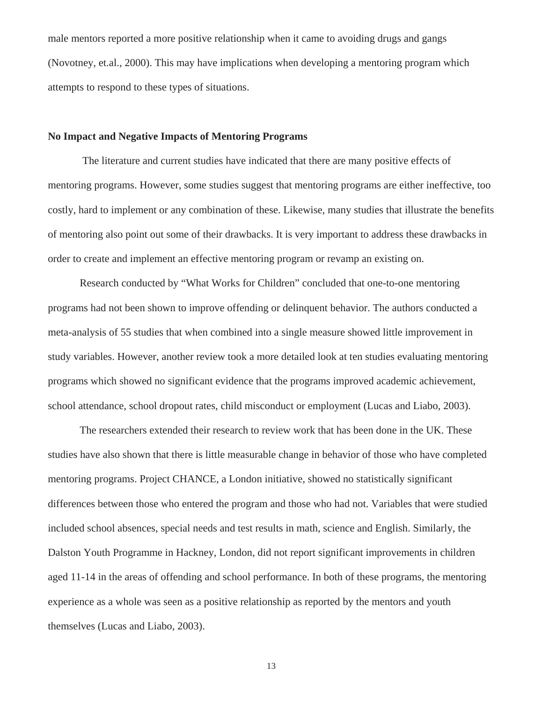male mentors reported a more positive relationship when it came to avoiding drugs and gangs (Novotney, et.al., 2000). This may have implications when developing a mentoring program which attempts to respond to these types of situations.

#### **No Impact and Negative Impacts of Mentoring Programs**

 The literature and current studies have indicated that there are many positive effects of mentoring programs. However, some studies suggest that mentoring programs are either ineffective, too costly, hard to implement or any combination of these. Likewise, many studies that illustrate the benefits of mentoring also point out some of their drawbacks. It is very important to address these drawbacks in order to create and implement an effective mentoring program or revamp an existing on.

 Research conducted by "What Works for Children" concluded that one-to-one mentoring programs had not been shown to improve offending or delinquent behavior. The authors conducted a meta-analysis of 55 studies that when combined into a single measure showed little improvement in study variables. However, another review took a more detailed look at ten studies evaluating mentoring programs which showed no significant evidence that the programs improved academic achievement, school attendance, school dropout rates, child misconduct or employment (Lucas and Liabo, 2003).

 The researchers extended their research to review work that has been done in the UK. These studies have also shown that there is little measurable change in behavior of those who have completed mentoring programs. Project CHANCE, a London initiative, showed no statistically significant differences between those who entered the program and those who had not. Variables that were studied included school absences, special needs and test results in math, science and English. Similarly, the Dalston Youth Programme in Hackney, London, did not report significant improvements in children aged 11-14 in the areas of offending and school performance. In both of these programs, the mentoring experience as a whole was seen as a positive relationship as reported by the mentors and youth themselves (Lucas and Liabo, 2003).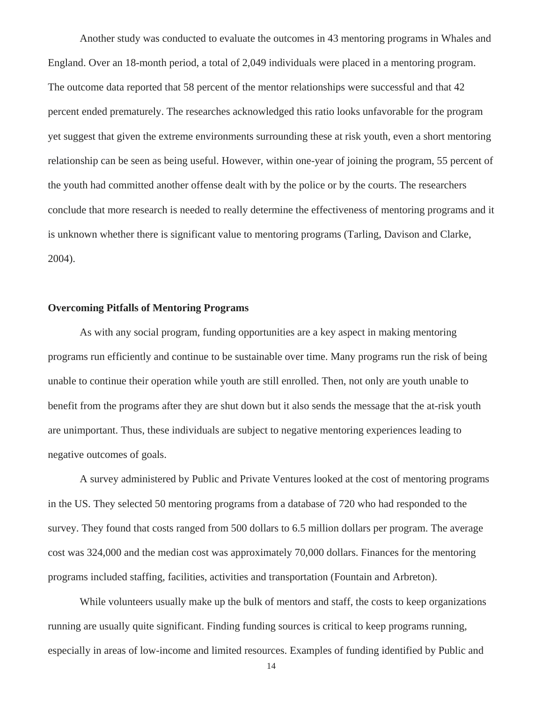Another study was conducted to evaluate the outcomes in 43 mentoring programs in Whales and England. Over an 18-month period, a total of 2,049 individuals were placed in a mentoring program. The outcome data reported that 58 percent of the mentor relationships were successful and that 42 percent ended prematurely. The researches acknowledged this ratio looks unfavorable for the program yet suggest that given the extreme environments surrounding these at risk youth, even a short mentoring relationship can be seen as being useful. However, within one-year of joining the program, 55 percent of the youth had committed another offense dealt with by the police or by the courts. The researchers conclude that more research is needed to really determine the effectiveness of mentoring programs and it is unknown whether there is significant value to mentoring programs (Tarling, Davison and Clarke, 2004).

#### **Overcoming Pitfalls of Mentoring Programs**

As with any social program, funding opportunities are a key aspect in making mentoring programs run efficiently and continue to be sustainable over time. Many programs run the risk of being unable to continue their operation while youth are still enrolled. Then, not only are youth unable to benefit from the programs after they are shut down but it also sends the message that the at-risk youth are unimportant. Thus, these individuals are subject to negative mentoring experiences leading to negative outcomes of goals.

 A survey administered by Public and Private Ventures looked at the cost of mentoring programs in the US. They selected 50 mentoring programs from a database of 720 who had responded to the survey. They found that costs ranged from 500 dollars to 6.5 million dollars per program. The average cost was 324,000 and the median cost was approximately 70,000 dollars. Finances for the mentoring programs included staffing, facilities, activities and transportation (Fountain and Arbreton).

While volunteers usually make up the bulk of mentors and staff, the costs to keep organizations running are usually quite significant. Finding funding sources is critical to keep programs running, especially in areas of low-income and limited resources. Examples of funding identified by Public and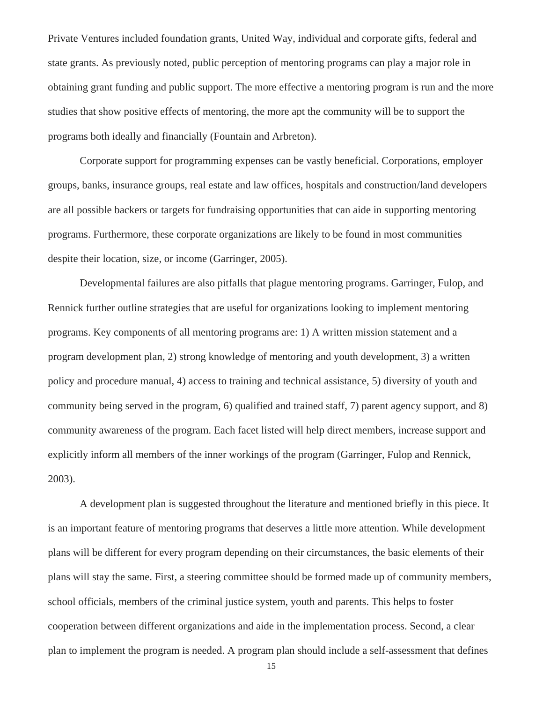Private Ventures included foundation grants, United Way, individual and corporate gifts, federal and state grants. As previously noted, public perception of mentoring programs can play a major role in obtaining grant funding and public support. The more effective a mentoring program is run and the more studies that show positive effects of mentoring, the more apt the community will be to support the programs both ideally and financially (Fountain and Arbreton).

 Corporate support for programming expenses can be vastly beneficial. Corporations, employer groups, banks, insurance groups, real estate and law offices, hospitals and construction/land developers are all possible backers or targets for fundraising opportunities that can aide in supporting mentoring programs. Furthermore, these corporate organizations are likely to be found in most communities despite their location, size, or income (Garringer, 2005).

 Developmental failures are also pitfalls that plague mentoring programs. Garringer, Fulop, and Rennick further outline strategies that are useful for organizations looking to implement mentoring programs. Key components of all mentoring programs are: 1) A written mission statement and a program development plan, 2) strong knowledge of mentoring and youth development, 3) a written policy and procedure manual, 4) access to training and technical assistance, 5) diversity of youth and community being served in the program, 6) qualified and trained staff, 7) parent agency support, and 8) community awareness of the program. Each facet listed will help direct members, increase support and explicitly inform all members of the inner workings of the program (Garringer, Fulop and Rennick, 2003).

 A development plan is suggested throughout the literature and mentioned briefly in this piece. It is an important feature of mentoring programs that deserves a little more attention. While development plans will be different for every program depending on their circumstances, the basic elements of their plans will stay the same. First, a steering committee should be formed made up of community members, school officials, members of the criminal justice system, youth and parents. This helps to foster cooperation between different organizations and aide in the implementation process. Second, a clear plan to implement the program is needed. A program plan should include a self-assessment that defines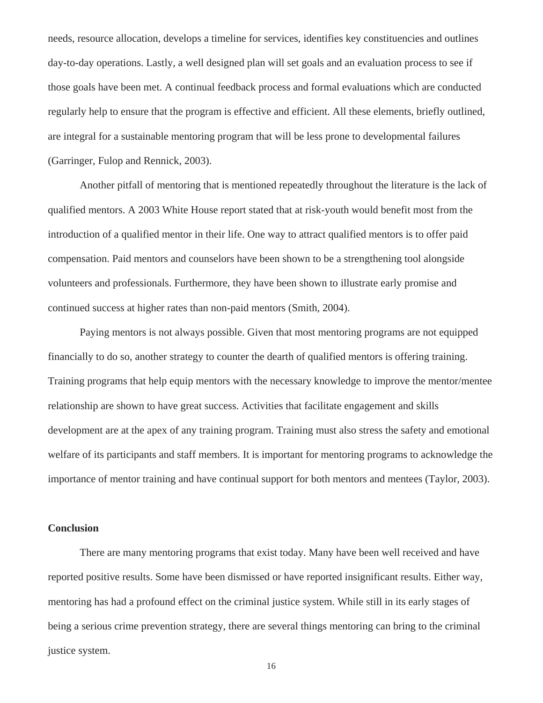needs, resource allocation, develops a timeline for services, identifies key constituencies and outlines day-to-day operations. Lastly, a well designed plan will set goals and an evaluation process to see if those goals have been met. A continual feedback process and formal evaluations which are conducted regularly help to ensure that the program is effective and efficient. All these elements, briefly outlined, are integral for a sustainable mentoring program that will be less prone to developmental failures (Garringer, Fulop and Rennick, 2003).

 Another pitfall of mentoring that is mentioned repeatedly throughout the literature is the lack of qualified mentors. A 2003 White House report stated that at risk-youth would benefit most from the introduction of a qualified mentor in their life. One way to attract qualified mentors is to offer paid compensation. Paid mentors and counselors have been shown to be a strengthening tool alongside volunteers and professionals. Furthermore, they have been shown to illustrate early promise and continued success at higher rates than non-paid mentors (Smith, 2004).

 Paying mentors is not always possible. Given that most mentoring programs are not equipped financially to do so, another strategy to counter the dearth of qualified mentors is offering training. Training programs that help equip mentors with the necessary knowledge to improve the mentor/mentee relationship are shown to have great success. Activities that facilitate engagement and skills development are at the apex of any training program. Training must also stress the safety and emotional welfare of its participants and staff members. It is important for mentoring programs to acknowledge the importance of mentor training and have continual support for both mentors and mentees (Taylor, 2003).

#### **Conclusion**

There are many mentoring programs that exist today. Many have been well received and have reported positive results. Some have been dismissed or have reported insignificant results. Either way, mentoring has had a profound effect on the criminal justice system. While still in its early stages of being a serious crime prevention strategy, there are several things mentoring can bring to the criminal justice system.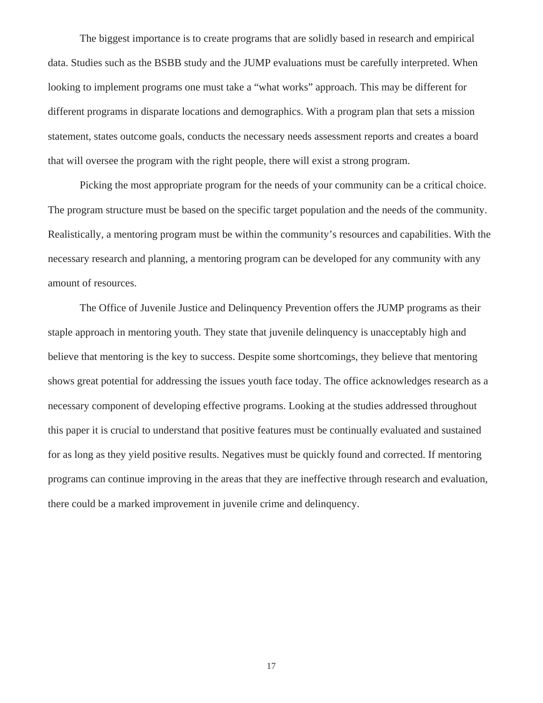The biggest importance is to create programs that are solidly based in research and empirical data. Studies such as the BSBB study and the JUMP evaluations must be carefully interpreted. When looking to implement programs one must take a "what works" approach. This may be different for different programs in disparate locations and demographics. With a program plan that sets a mission statement, states outcome goals, conducts the necessary needs assessment reports and creates a board that will oversee the program with the right people, there will exist a strong program.

 Picking the most appropriate program for the needs of your community can be a critical choice. The program structure must be based on the specific target population and the needs of the community. Realistically, a mentoring program must be within the community's resources and capabilities. With the necessary research and planning, a mentoring program can be developed for any community with any amount of resources.

 The Office of Juvenile Justice and Delinquency Prevention offers the JUMP programs as their staple approach in mentoring youth. They state that juvenile delinquency is unacceptably high and believe that mentoring is the key to success. Despite some shortcomings, they believe that mentoring shows great potential for addressing the issues youth face today. The office acknowledges research as a necessary component of developing effective programs. Looking at the studies addressed throughout this paper it is crucial to understand that positive features must be continually evaluated and sustained for as long as they yield positive results. Negatives must be quickly found and corrected. If mentoring programs can continue improving in the areas that they are ineffective through research and evaluation, there could be a marked improvement in juvenile crime and delinquency.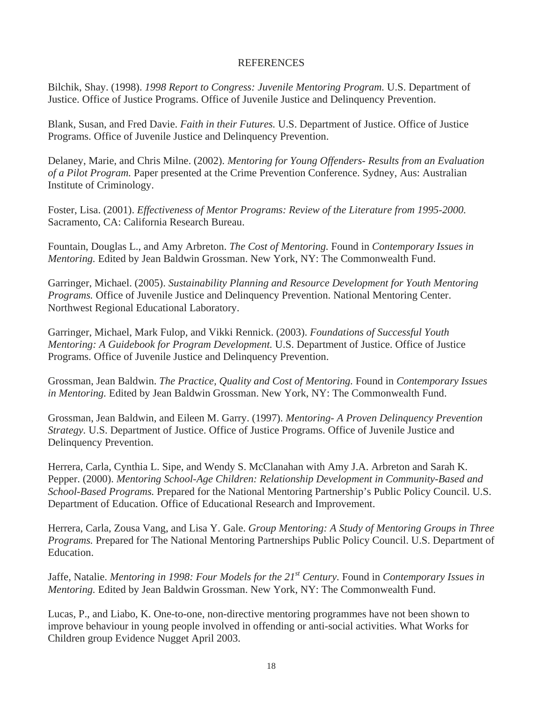#### **REFERENCES**

Bilchik, Shay. (1998). *1998 Report to Congress: Juvenile Mentoring Program.* U.S. Department of Justice. Office of Justice Programs. Office of Juvenile Justice and Delinquency Prevention.

Blank, Susan, and Fred Davie. *Faith in their Futures.* U.S. Department of Justice. Office of Justice Programs. Office of Juvenile Justice and Delinquency Prevention.

Delaney, Marie, and Chris Milne. (2002). *Mentoring for Young Offenders- Results from an Evaluation of a Pilot Program.* Paper presented at the Crime Prevention Conference. Sydney, Aus: Australian Institute of Criminology.

Foster, Lisa. (2001). *Effectiveness of Mentor Programs: Review of the Literature from 1995-2000.*  Sacramento, CA: California Research Bureau.

Fountain, Douglas L., and Amy Arbreton. *The Cost of Mentoring.* Found in *Contemporary Issues in Mentoring.* Edited by Jean Baldwin Grossman. New York, NY: The Commonwealth Fund.

Garringer, Michael. (2005). *Sustainability Planning and Resource Development for Youth Mentoring Programs.* Office of Juvenile Justice and Delinquency Prevention. National Mentoring Center. Northwest Regional Educational Laboratory.

Garringer, Michael, Mark Fulop, and Vikki Rennick. (2003). *Foundations of Successful Youth Mentoring: A Guidebook for Program Development.* U.S. Department of Justice. Office of Justice Programs. Office of Juvenile Justice and Delinquency Prevention.

Grossman, Jean Baldwin. *The Practice, Quality and Cost of Mentoring.* Found in *Contemporary Issues in Mentoring.* Edited by Jean Baldwin Grossman. New York, NY: The Commonwealth Fund.

Grossman, Jean Baldwin, and Eileen M. Garry. (1997). *Mentoring- A Proven Delinquency Prevention Strategy.* U.S. Department of Justice. Office of Justice Programs. Office of Juvenile Justice and Delinquency Prevention.

Herrera, Carla, Cynthia L. Sipe, and Wendy S. McClanahan with Amy J.A. Arbreton and Sarah K. Pepper. (2000). *Mentoring School-Age Children: Relationship Development in Community-Based and School-Based Programs.* Prepared for the National Mentoring Partnership's Public Policy Council. U.S. Department of Education. Office of Educational Research and Improvement.

Herrera, Carla, Zousa Vang, and Lisa Y. Gale. *Group Mentoring: A Study of Mentoring Groups in Three Programs.* Prepared for The National Mentoring Partnerships Public Policy Council. U.S. Department of Education.

Jaffe, Natalie. *Mentoring in 1998: Four Models for the 21st Century.* Found in *Contemporary Issues in Mentoring.* Edited by Jean Baldwin Grossman. New York, NY: The Commonwealth Fund.

Lucas, P., and Liabo, K. One-to-one, non-directive mentoring programmes have not been shown to improve behaviour in young people involved in offending or anti-social activities. What Works for Children group Evidence Nugget April 2003.